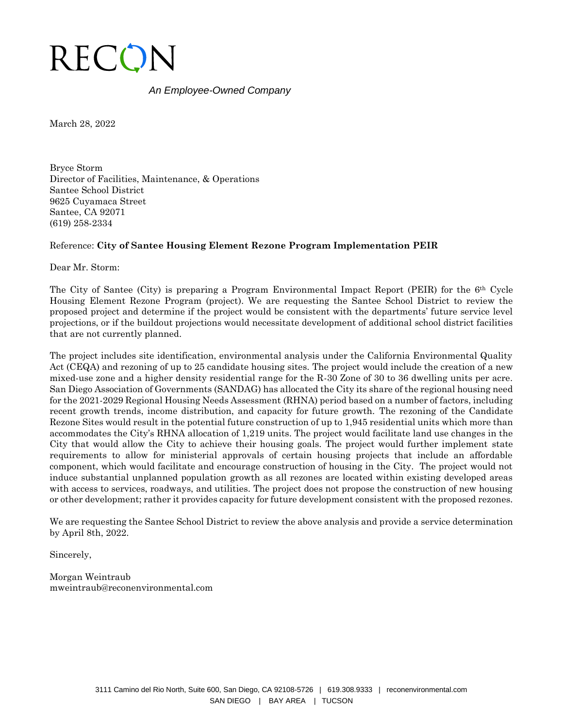

## *An Employee-Owned Company*

March 28, 2022

Bryce Storm Director of Facilities, Maintenance, & Operations Santee School District 9625 Cuyamaca Street Santee, CA 92071 (619) 258-2334

# Reference: **City of Santee Housing Element Rezone Program Implementation PEIR**

Dear Mr. Storm:

The City of Santee (City) is preparing a Program Environmental Impact Report (PEIR) for the 6th Cycle Housing Element Rezone Program (project). We are requesting the Santee School District to review the proposed project and determine if the project would be consistent with the departments' future service level projections, or if the buildout projections would necessitate development of additional school district facilities that are not currently planned.

The project includes site identification, environmental analysis under the California Environmental Quality Act (CEQA) and rezoning of up to 25 candidate housing sites. The project would include the creation of a new mixed-use zone and a higher density residential range for the R-30 Zone of 30 to 36 dwelling units per acre. San Diego Association of Governments (SANDAG) has allocated the City its share of the regional housing need for the 2021-2029 Regional Housing Needs Assessment (RHNA) period based on a number of factors, including recent growth trends, income distribution, and capacity for future growth. The rezoning of the Candidate Rezone Sites would result in the potential future construction of up to 1,945 residential units which more than accommodates the City's RHNA allocation of 1,219 units. The project would facilitate land use changes in the City that would allow the City to achieve their housing goals. The project would further implement state requirements to allow for ministerial approvals of certain housing projects that include an affordable component, which would facilitate and encourage construction of housing in the City. The project would not induce substantial unplanned population growth as all rezones are located within existing developed areas with access to services, roadways, and utilities. The project does not propose the construction of new housing or other development; rather it provides capacity for future development consistent with the proposed rezones.

We are requesting the Santee School District to review the above analysis and provide a service determination by April 8th, 2022.

Sincerely,

Morgan Weintraub mweintraub@reconenvironmental.com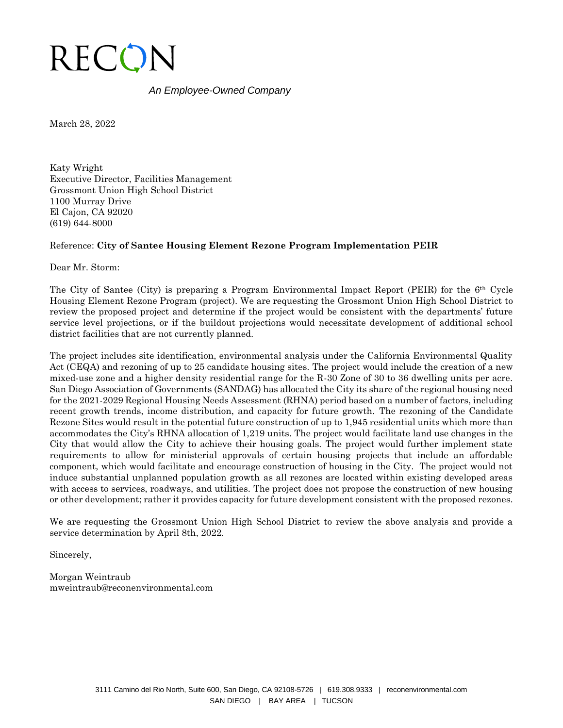

## *An Employee-Owned Company*

March 28, 2022

Katy Wright Executive Director, Facilities Management Grossmont Union High School District 1100 Murray Drive El Cajon, CA 92020 (619) 644-8000

#### Reference: **City of Santee Housing Element Rezone Program Implementation PEIR**

Dear Mr. Storm:

The City of Santee (City) is preparing a Program Environmental Impact Report (PEIR) for the 6th Cycle Housing Element Rezone Program (project). We are requesting the Grossmont Union High School District to review the proposed project and determine if the project would be consistent with the departments' future service level projections, or if the buildout projections would necessitate development of additional school district facilities that are not currently planned.

The project includes site identification, environmental analysis under the California Environmental Quality Act (CEQA) and rezoning of up to 25 candidate housing sites. The project would include the creation of a new mixed-use zone and a higher density residential range for the R-30 Zone of 30 to 36 dwelling units per acre. San Diego Association of Governments (SANDAG) has allocated the City its share of the regional housing need for the 2021-2029 Regional Housing Needs Assessment (RHNA) period based on a number of factors, including recent growth trends, income distribution, and capacity for future growth. The rezoning of the Candidate Rezone Sites would result in the potential future construction of up to 1,945 residential units which more than accommodates the City's RHNA allocation of 1,219 units. The project would facilitate land use changes in the City that would allow the City to achieve their housing goals. The project would further implement state requirements to allow for ministerial approvals of certain housing projects that include an affordable component, which would facilitate and encourage construction of housing in the City. The project would not induce substantial unplanned population growth as all rezones are located within existing developed areas with access to services, roadways, and utilities. The project does not propose the construction of new housing or other development; rather it provides capacity for future development consistent with the proposed rezones.

We are requesting the Grossmont Union High School District to review the above analysis and provide a service determination by April 8th, 2022.

Sincerely,

Morgan Weintraub mweintraub@reconenvironmental.com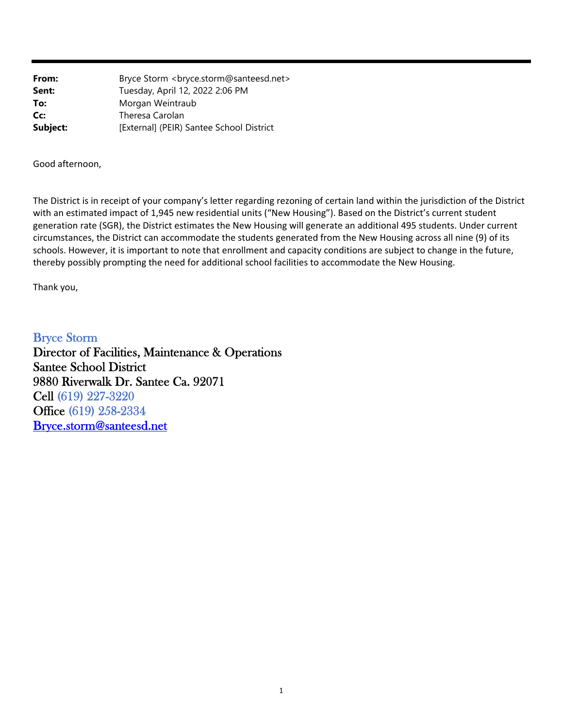| From:    | Bryce Storm<br><br><br><br><br><br>Storm@santeesd.net> |
|----------|--------------------------------------------------------|
| Sent:    | Tuesday, April 12, 2022 2:06 PM                        |
| To:      | Morgan Weintraub                                       |
| Cc:      | Theresa Carolan                                        |
| Subject: | [External] (PEIR) Santee School District               |

Good afternoon,

The District is in receipt of your company's letter regarding rezoning of certain land within the jurisdiction of the District with an estimated impact of 1,945 new residential units ("New Housing"). Based on the District's current student generation rate (SGR), the District estimates the New Housing will generate an additional 495 students. Under current circumstances, the District can accommodate the students generated from the New Housing across all nine (9) of its schools. However, it is important to note that enrollment and capacity conditions are subject to change in the future, thereby possibly prompting the need for additional school facilities to accommodate the New Housing.

Thank you,

Bryce Storm Director of Facilities, Maintenance & Operations Santee School District 9880 Riverwalk Dr. Santee Ca. 92071 Cell (619) 227-3220 Office (619) 258-2334 Bryce.storm@santeesd.net